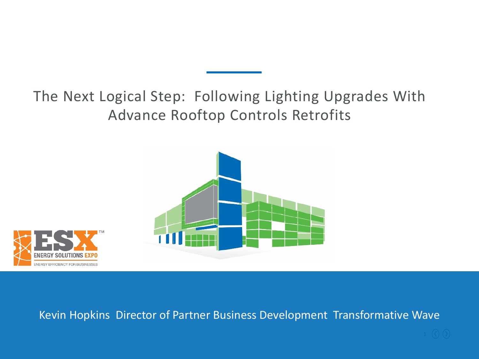The Next Logical Step: Following Lighting Upgrades With Advance Rooftop Controls Retrofits





Kevin Hopkins Director of Partner Business Development Transformative Wave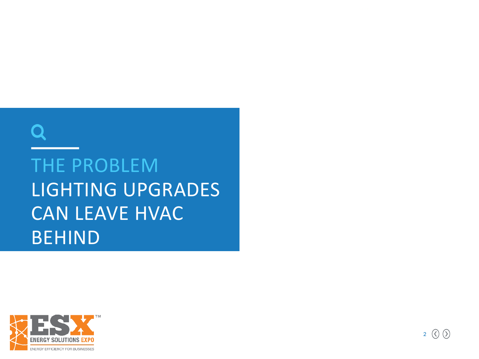# THE PROBLEM LIGHTING UPGRADES CAN LEAVE HVAC BEHIND

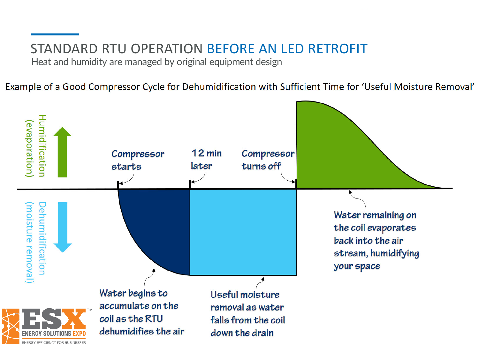#### STANDARD RTU OPERATION BEFORE AN LED RETROFIT

Heat and humidity are managed by original equipment design

Example of a Good Compressor Cycle for Dehumidification with Sufficient Time for 'Useful Moisture Removal'

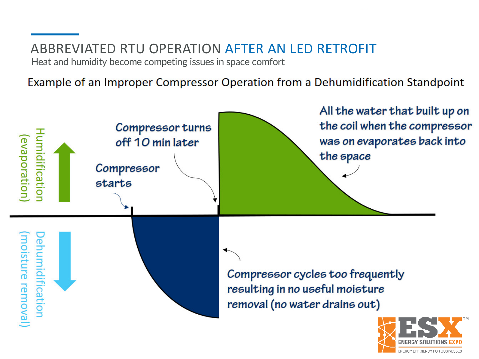## ABBREVIATED RTU OPERATION AFTER AN LED RETROFIT

Heat and humidity become competing issues in space comfort

Example of an Improper Compressor Operation from a Dehumidification Standpoint

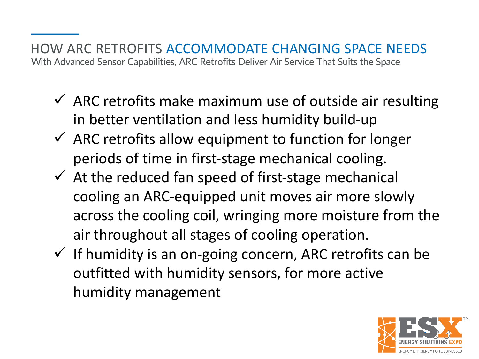HOW ARC RETROFITS ACCOMMODATE CHANGING SPACE NEEDS With Advanced Sensor Capabilities, ARC Retrofits Deliver Air Service That Suits the Space

- $\checkmark$  ARC retrofits make maximum use of outside air resulting in better ventilation and less humidity build-up
- $\checkmark$  ARC retrofits allow equipment to function for longer periods of time in first-stage mechanical cooling.
- $\checkmark$  At the reduced fan speed of first-stage mechanical cooling an ARC-equipped unit moves air more slowly across the cooling coil, wringing more moisture from the air throughout all stages of cooling operation.
- $\checkmark$  If humidity is an on-going concern, ARC retrofits can be outfitted with humidity sensors, for more active humidity management

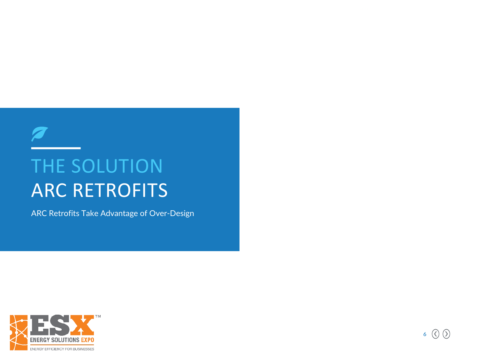## THE SOLUTION ARC RETROFITS

ARC Retrofits Take Advantage of Over-Design



 $\overline{\mathscr{A}}$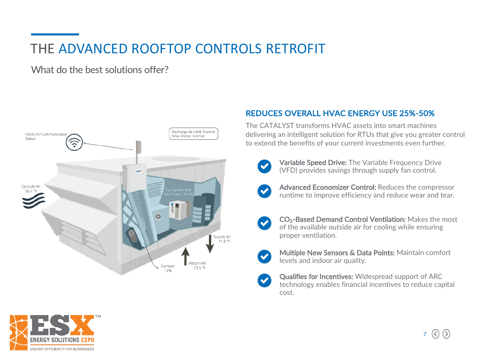### THE ADVANCED ROOFTOP CONTROLS RETROFIT

What do the best solutions offer?



#### REDUCES OVERALL HVAC ENERGY USE 25%-50%

The CATALYST transforms HVAC assets into smart machines delivering an intelligent solution for RTUs that give you greater control to extend the benefits of your current investments even further.



Variable Speed Drive: The Variable Frequency Drive (VFD) provides savings through supply fan control.



Advanced Economizer Control: Reduces the compressor runtime to improve efficiency and reduce wear and tear.



CO<sub>2</sub>-Based Demand Control Ventilation: Makes the most of the available outside air for cooling while ensuring proper ventilation.



Multiple New Sensors & Data Points: Maintain comfort levels and indoor air quality.



Qualifies for Incentives: Widespread support of ARC technology enables financial incentives to reduce capital cost.

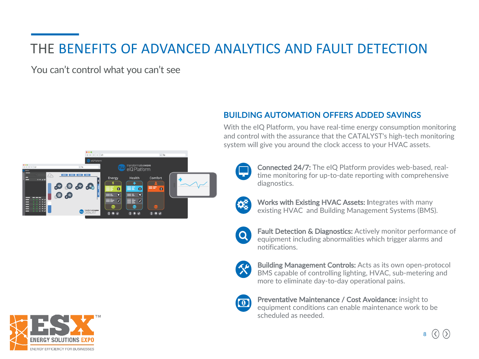### THE BENEFITS OF ADVANCED ANALYTICS AND FAULT DETECTION

You can't control what you can't see



#### BUILDING AUTOMATION OFFERS ADDED SAVINGS

With the eIQ Platform, you have real-time energy consumption monitoring and control with the assurance that the CATALYST's high-tech monitoring system will give you around the clock access to your HVAC assets.



Connected 24/7: The eIQ Platform provides web-based, realtime monitoring for up-to-date reporting with comprehensive diagnostics.



Works with Existing HVAC Assets: Integrates with many existing HVAC and Building Management Systems (BMS).



Fault Detection & Diagnostics: Actively monitor performance of equipment including abnormalities which trigger alarms and notifications.

Building Management Controls: Acts as its own open-protocol BMS capable of controlling lighting, HVAC, sub-metering and more to eliminate day-to-day operational pains.



Preventative Maintenance / Cost Avoidance: insight to equipment conditions can enable maintenance work to be scheduled as needed.

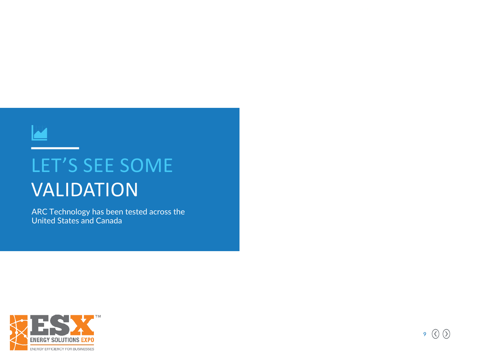

## LET'S SEE SOME VALIDATION

ARC Technology has been tested across the United States and Canada

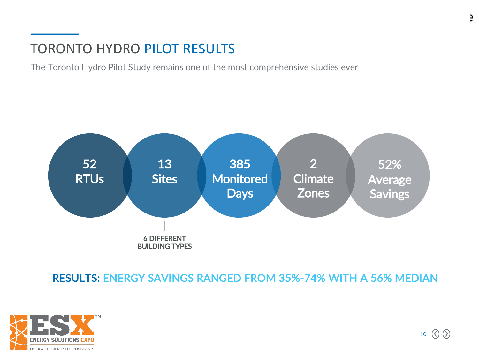#### TORONTO HYDRO PILOT RESULTS

The Toronto Hydro Pilot Study remains one of the most comprehensive studies ever



RESULTS: ENERGY SAVINGS RANGED FROM 35%-74% WITH A 56% MEDIAN

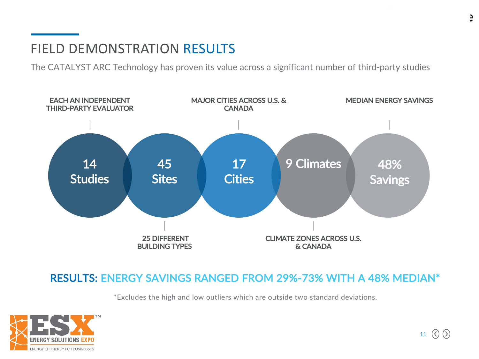#### FIELD DEMONSTRATION RESULTS

The CATALYST ARC Technology has proven its value across a significant number of third-party studies



#### RESULTS: ENERGY SAVINGS RANGED FROM 29%-73% WITH A 48% MEDIAN\*

\*Excludes the high and low outliers which are outside two standard deviations.